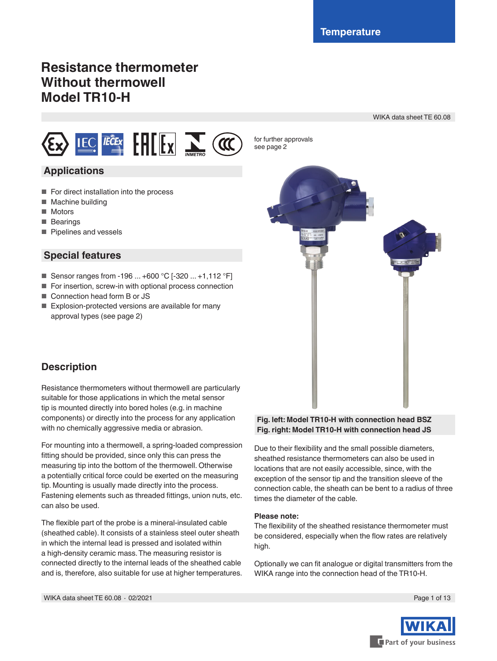# **Resistance thermometer Without thermowell Model TR10-H**

WIKA data sheet TE 60.08



# **Applications**

- For direct installation into the process
- Machine building
- Motors
- Bearings
- Pipelines and vessels

# **Special features**

- Sensor ranges from -196 ... +600 °C [-320 ... +1,112 °F]
- For insertion, screw-in with optional process connection
- Connection head form B or JS
- Explosion-protected versions are available for many approval types (see page 2)



# **Description**

Resistance thermometers without thermowell are particularly suitable for those applications in which the metal sensor tip is mounted directly into bored holes (e.g. in machine components) or directly into the process for any application with no chemically aggressive media or abrasion.

For mounting into a thermowell, a spring-loaded compression fitting should be provided, since only this can press the measuring tip into the bottom of the thermowell. Otherwise a potentially critical force could be exerted on the measuring tip. Mounting is usually made directly into the process. Fastening elements such as threaded fittings, union nuts, etc. can also be used.

The flexible part of the probe is a mineral-insulated cable (sheathed cable). It consists of a stainless steel outer sheath in which the internal lead is pressed and isolated within a high-density ceramic mass. The measuring resistor is connected directly to the internal leads of the sheathed cable and is, therefore, also suitable for use at higher temperatures.

#### **Fig. left: Model TR10-H with connection head BSZ Fig. right: Model TR10-H with connection head JS**

Due to their flexibility and the small possible diameters, sheathed resistance thermometers can also be used in locations that are not easily accessible, since, with the exception of the sensor tip and the transition sleeve of the connection cable, the sheath can be bent to a radius of three times the diameter of the cable.

#### **Please note:**

for further approvals see page 2

The flexibility of the sheathed resistance thermometer must be considered, especially when the flow rates are relatively high.

Optionally we can fit analogue or digital transmitters from the WIKA range into the connection head of the TR10-H.

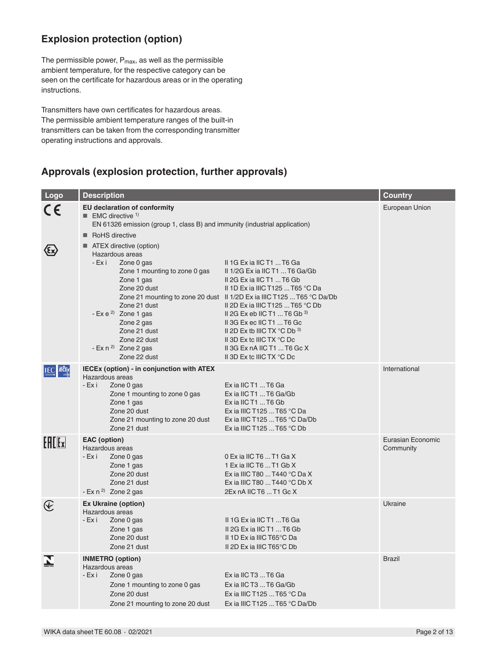# **Explosion protection (option)**

The permissible power,  $P_{max}$ , as well as the permissible ambient temperature, for the respective category can be seen on the certificate for hazardous areas or in the operating instructions.

Transmitters have own certificates for hazardous areas. The permissible ambient temperature ranges of the built-in transmitters can be taken from the corresponding transmitter operating instructions and approvals.

# **Approvals (explosion protection, further approvals)**

| Logo             | <b>Description</b>                                                                                                                                                                                                                                       |                                                                                                                                                                                                                                                                                                                                                                                                                                                        | <b>Country</b>                 |
|------------------|----------------------------------------------------------------------------------------------------------------------------------------------------------------------------------------------------------------------------------------------------------|--------------------------------------------------------------------------------------------------------------------------------------------------------------------------------------------------------------------------------------------------------------------------------------------------------------------------------------------------------------------------------------------------------------------------------------------------------|--------------------------------|
|                  | <b>EU declaration of conformity</b><br><b>EMC</b> directive <sup>1)</sup><br>EN 61326 emission (group 1, class B) and immunity (industrial application)<br>RoHS directive<br>■ ATEX directive (option)                                                   |                                                                                                                                                                                                                                                                                                                                                                                                                                                        | European Union                 |
|                  | Hazardous areas<br>- Exi<br>Zone 0 gas<br>Zone 1 mounting to zone 0 gas<br>Zone 1 gas<br>Zone 20 dust<br>Zone 21 dust<br>- Ex e <sup>2)</sup> Zone 1 gas<br>Zone 2 gas<br>Zone 21 dust<br>Zone 22 dust<br>- Ex n <sup>2</sup> Zone 2 gas<br>Zone 22 dust | II 1G Ex ia IIC T1  T6 Ga<br>II $1/2G$ Ex ia IIC T1  T6 Ga/Gb<br>II 2G Ex ia IIC T1  T6 Gb<br>II 1D Ex ia IIIC T125  T65 °C Da<br>Zone 21 mounting to zone 20 dust II 1/2D Ex ia IIIC T125  T65 °C Da/Db<br>II 2D Ex ia IIIC T125  T65 °C Db<br>II 2G Ex eb IIC T1  T6 Gb $3)$<br>II 3G Ex ec IIC T1  T6 Gc<br>II 2D Ex tb IIIC TX $^{\circ}$ C Db $^{\circ}$<br>II 3D Ex to IIIC TX °C Do<br>II 3G Ex nA IIC T1  T6 Gc X<br>II 3D Ex to IIIC TX °C Do |                                |
| <b>IEC FECEX</b> | <b>IECEx (option) - in conjunction with ATEX</b><br>Hazardous areas<br>- Ex i<br>Zone 0 gas<br>Zone 1 mounting to zone 0 gas<br>Zone 1 gas<br>Zone 20 dust<br>Zone 21 mounting to zone 20 dust<br>Zone 21 dust                                           | Ex ia IIC T1  T6 Ga<br>Ex ia IIC T1  T6 Ga/Gb<br>Ex ia IIC T1  T6 Gb<br>Ex ia IIIC T125  T65 °C Da<br>Ex ia IIIC T125  T65 °C Da/Db<br>Ex ia IIIC T125  T65 °C Db                                                                                                                                                                                                                                                                                      | International                  |
| Fff[x]           | <b>EAC</b> (option)<br>Hazardous areas<br>- Ex i<br>Zone 0 gas<br>Zone 1 gas<br>Zone 20 dust<br>Zone 21 dust<br>- Ex $n^{2}$ Zone 2 gas                                                                                                                  | 0 Ex ia IIC T6  T1 Ga X<br>1 Ex ia IIC T6  T1 Gb X<br>Ex ia IIIC T80  T440 °C Da X<br>Ex ia IIIC T80  T440 °C Db X<br>2Ex nA IIC T6  T1 Gc X                                                                                                                                                                                                                                                                                                           | Eurasian Economic<br>Community |
| $\mathfrak{E}$   | <b>Ex Ukraine (option)</b><br>Hazardous areas<br>- Ex i<br>Zone 0 gas<br>Zone 1 gas<br>Zone 20 dust<br>Zone 21 dust                                                                                                                                      | II 1G Ex ia IIC T1  T6 Ga<br>II 2G Ex ia IIC T1  T6 Gb<br>II 1D Ex ia IIIC T65°C Da<br>II 2D Ex ia IIIC T65°C Db                                                                                                                                                                                                                                                                                                                                       | Ukraine                        |
|                  | <b>INMETRO</b> (option)<br>Hazardous areas<br>- Ex i<br>Zone 0 gas<br>Zone 1 mounting to zone 0 gas<br>Zone 20 dust<br>Zone 21 mounting to zone 20 dust                                                                                                  | Ex ia IIC T3  T6 Ga<br>Ex ia IIC T3  T6 Ga/Gb<br>Ex ia IIIC T125  T65 °C Da<br>Ex ia IIIC T125  T65 °C Da/Db                                                                                                                                                                                                                                                                                                                                           | <b>Brazil</b>                  |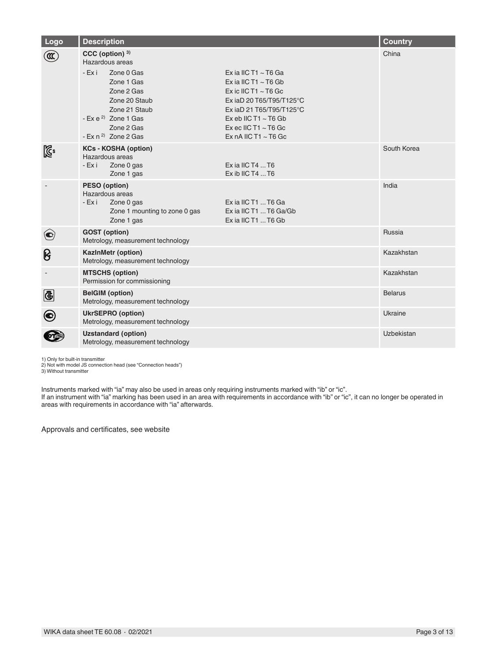| Logo                  | <b>Description</b>                                                                                                                                                                                                     |                                                                                                                                                                                                                                    | <b>Country</b> |
|-----------------------|------------------------------------------------------------------------------------------------------------------------------------------------------------------------------------------------------------------------|------------------------------------------------------------------------------------------------------------------------------------------------------------------------------------------------------------------------------------|----------------|
|                       | CCC (option) <sup>3)</sup><br>Hazardous areas<br>- Exi<br>Zone 0 Gas<br>Zone 1 Gas<br>Zone 2 Gas<br>Zone 20 Staub<br>Zone 21 Staub<br>- Ex e <sup>2)</sup> Zone 1 Gas<br>Zone 2 Gas<br>- Ex n <sup>2)</sup> Zone 2 Gas | Ex ia IIC T1 $\sim$ T6 Ga<br>Ex ia IIC T1 $\sim$ T6 Gb<br>Ex ic IIC T1 $\sim$ T6 Gc<br>Ex iaD 20 T65/T95/T125°C<br>Ex iaD 21 T65/T95/T125°C<br>Ex eb IIC T1 $\sim$ T6 Gb<br>Ex ec IIC T1 $\sim$ T6 Gc<br>Ex nA IIC T1 $\sim$ T6 Gc | China          |
| $\mathbb{Z}^2$        | <b>KCs - KOSHA (option)</b><br>Hazardous areas<br>$-Ex$ i<br>Zone 0 gas<br>Zone 1 gas                                                                                                                                  | $Ex$ ia IIC T4 $$ T6<br>$Ex$ ib IIC T4  T6                                                                                                                                                                                         | South Korea    |
|                       | PESO (option)<br>Hazardous areas<br>- Ex i<br>Zone 0 gas<br>Zone 1 mounting to zone 0 gas<br>Zone 1 gas                                                                                                                | Ex ia IIC T1  T6 Ga<br>Ex ia IIC T1  T6 Ga/Gb<br>Ex ia IIC T1  T6 Gb                                                                                                                                                               | India          |
| $\bigodot$            | <b>GOST</b> (option)<br>Metrology, measurement technology                                                                                                                                                              |                                                                                                                                                                                                                                    | Russia         |
| ၆                     | KazInMetr (option)<br>Metrology, measurement technology                                                                                                                                                                |                                                                                                                                                                                                                                    | Kazakhstan     |
| $\sim$                | <b>MTSCHS (option)</b><br>Permission for commissioning                                                                                                                                                                 |                                                                                                                                                                                                                                    | Kazakhstan     |
| ®                     | <b>BelGIM</b> (option)<br>Metrology, measurement technology                                                                                                                                                            |                                                                                                                                                                                                                                    | <b>Belarus</b> |
| $\boldsymbol{\Theta}$ | <b>UkrSEPRO</b> (option)<br>Metrology, measurement technology                                                                                                                                                          |                                                                                                                                                                                                                                    | Ukraine        |
|                       | <b>Uzstandard (option)</b><br>Metrology, measurement technology                                                                                                                                                        |                                                                                                                                                                                                                                    | Uzbekistan     |

1) Only for built-in transmitter

2) Not with model JS connection head (see "Connection heads") 3) Without transmitter

Instruments marked with "ia" may also be used in areas only requiring instruments marked with "ib" or "ic".

If an instrument with "ia" marking has been used in an area with requirements in accordance with "ib" or "ic", it can no longer be operated in areas with requirements in accordance with "ia" afterwards.

Approvals and certificates, see website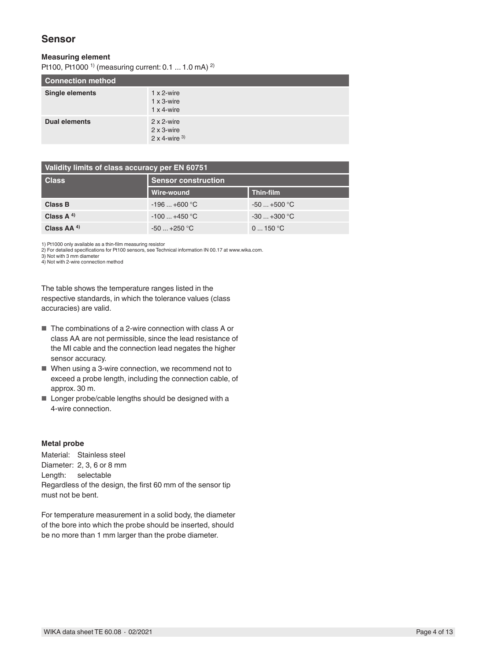### **Sensor**

#### **Measuring element**

Pt100, Pt1000<sup>1)</sup> (measuring current: 0.1 ... 1.0 mA)<sup>2)</sup>

| <b>Connection method</b> |                                                                   |  |  |  |
|--------------------------|-------------------------------------------------------------------|--|--|--|
| <b>Single elements</b>   | $1 \times 2$ -wire<br>$1 \times 3$ -wire<br>$1 \times 4$ -wire    |  |  |  |
| <b>Dual elements</b>     | $2 \times 2$ -wire<br>$2 \times 3$ -wire<br>$2 \times 4$ -wire 3) |  |  |  |

| Validity limits of class accuracy per EN 60751 |                            |              |  |  |  |
|------------------------------------------------|----------------------------|--------------|--|--|--|
| <b>Class</b>                                   | <b>Sensor construction</b> |              |  |  |  |
|                                                | Wire-wound                 | Thin-film    |  |  |  |
| Class B                                        | $-196+600$ °C              | $-50+500$ °C |  |  |  |
| Class $A^{(4)}$                                | $-100+450$ °C              | $-30+300$ °C |  |  |  |
| Class AA <sup>4)</sup>                         | $-50 - +250$ °C            | 0150 °C      |  |  |  |

1) Pt1000 only available as a thin-film measuring resistor

2) For detailed specifications for Pt100 sensors, see Technical information IN 00.17 at www.wika.com. 3) Not with 3 mm diameter

4) Not with 2-wire connection method

The table shows the temperature ranges listed in the respective standards, in which the tolerance values (class accuracies) are valid.

- The combinations of a 2-wire connection with class A or class AA are not permissible, since the lead resistance of the MI cable and the connection lead negates the higher sensor accuracy.
- When using a 3-wire connection, we recommend not to exceed a probe length, including the connection cable, of approx. 30 m.
- Longer probe/cable lengths should be designed with a 4-wire connection.

#### **Metal probe**

Material: Stainless steel Diameter: 2, 3, 6 or 8 mm Length: selectable Regardless of the design, the first 60 mm of the sensor tip must not be bent.

For temperature measurement in a solid body, the diameter of the bore into which the probe should be inserted, should be no more than 1 mm larger than the probe diameter.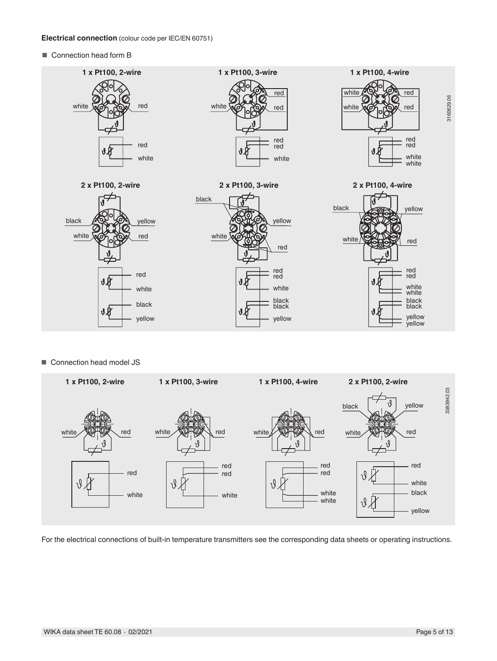#### **Electrical connection** (colour code per IEC/EN 60751)

■ Connection head form **B** 



■ Connection head model JS



For the electrical connections of built-in temperature transmitters see the corresponding data sheets or operating instructions.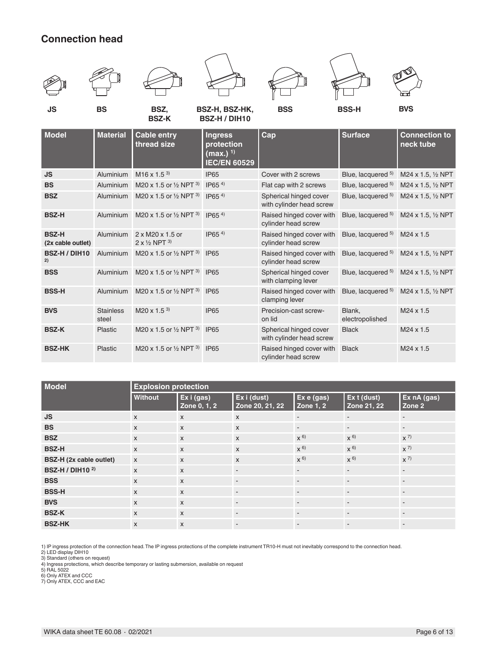# **Connection head**

**BVS** Stainless

steel



M20 x 1.5<sup>3)</sup> IP65 Precision-cast screw-

**BSS-H** Aluminium M20 x 1.5 or <sup>1</sup>/<sub>2</sub> NPT <sup>3)</sup> IP65 Raised hinged cover with

**BSZ-K** Plastic M20 x 1.5 or <sup>1</sup>/<sub>2</sub> NPT<sup>3)</sup> IP65 Spherical hinged cover

**BSZ-HK** Plastic M20 x 1.5 or <sup>1/2</sup> NPT <sup>3)</sup> IP65 Raised hinged cover with

| <b>Model</b>                      | <b>Explosion protection</b> |                            |                                |                                |                            |                                  |  |
|-----------------------------------|-----------------------------|----------------------------|--------------------------------|--------------------------------|----------------------------|----------------------------------|--|
|                                   | Without                     | Ex i (gas)<br>Zone 0, 1, 2 | Ex i (dust)<br>Zone 20, 21, 22 | Ex e (gas)<br><b>Zone 1, 2</b> | Ex t (dust)<br>Zone 21, 22 | Ex nA (gas)<br>Zone <sub>2</sub> |  |
| <b>JS</b>                         | $\mathsf{x}$                | $\mathsf{x}$               | $\mathsf{x}$                   | ۰.                             | $\sim$                     | $\overline{\phantom{a}}$         |  |
| <b>BS</b>                         | $\mathsf{x}$                | $\mathsf{x}$               | $\boldsymbol{\mathsf{x}}$      | $\overline{\phantom{a}}$       | $\sim$                     | $\overline{\phantom{a}}$         |  |
| <b>BSZ</b>                        | $\mathsf{x}$                | $\mathsf{x}$               | $\mathsf{x}$                   | $x^{6}$                        | $x^{6}$                    | $x^{7}$                          |  |
| <b>BSZ-H</b>                      | $\mathsf{x}$                | $\mathsf{x}$               | $\mathsf{x}$                   | $x^{6}$                        | $x^{6}$                    | $x^{7}$                          |  |
| BSZ-H (2x cable outlet)           | $\mathsf{X}$                | $\mathsf{x}$               | $\boldsymbol{\mathsf{x}}$      | $x^{6}$                        | $x^{6}$                    | $x^{7}$                          |  |
| <b>BSZ-H / DIH10<sup>2)</sup></b> | $\mathsf{x}$                | $\mathsf{x}$               | $\overline{\phantom{a}}$       | $\overline{\phantom{a}}$       | $\sim$                     | $\overline{\phantom{a}}$         |  |
| <b>BSS</b>                        | $\mathsf{x}$                | $\mathsf{x}$               | $\overline{\phantom{a}}$       | $\overline{\phantom{a}}$       | $\overline{\phantom{a}}$   | $\overline{\phantom{a}}$         |  |
| <b>BSS-H</b>                      | $\mathsf{x}$                | $\mathsf{x}$               | $\overline{\phantom{a}}$       | $\overline{\phantom{a}}$       | $\sim$                     | $\overline{\phantom{a}}$         |  |
| <b>BVS</b>                        | $\mathsf{x}$                | $\mathsf{x}$               | $\overline{\phantom{a}}$       | $\overline{\phantom{a}}$       | $\overline{\phantom{a}}$   | $\overline{\phantom{a}}$         |  |
| <b>BSZ-K</b>                      | $\mathsf{x}$                | $\mathsf{x}$               | $\overline{\phantom{a}}$       | $\overline{\phantom{a}}$       | $\overline{\phantom{a}}$   | $\overline{\phantom{a}}$         |  |
| <b>BSZ-HK</b>                     | $\mathsf{x}$                | $\mathsf{x}$               | $\overline{\phantom{a}}$       | ۰.                             | $\sim$                     | $\overline{\phantom{a}}$         |  |

clamping lever

with cylinder head screw

cylinder head screw

on lid

1) IP ingress protection of the connection head. The IP ingress protections of the complete instrument TR10-H must not inevitably correspond to the connection head.

2) LED display DIH10

3) Standard (others on request)

4) Ingress protections, which describe temporary or lasting submersion, available on request

5) RAL 5022

6) Only ATEX and CCC

7) Only ATEX, CCC and EAC

Blue, lacquered  $5$  M24 x 1.5,  $\frac{1}{2}$  NPT

Black M24 x 1.5

Black M24 x 1.5

M24 x 1.5

Blank, electropolished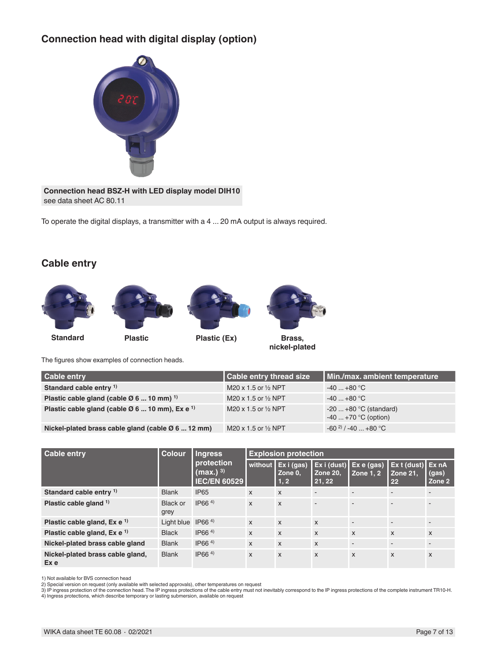# **Connection head with digital display (option)**



**Connection head BSZ-H with LED display model DIH10** see data sheet AC 80.11

To operate the digital displays, a transmitter with a 4 ... 20 mA output is always required.

### **Cable entry**









**nickel-plated**

The figures show examples of connection heads.

| <b>Cable entry</b>                                                     | Cable entry thread size        | Min./max. ambient temperature                  |
|------------------------------------------------------------------------|--------------------------------|------------------------------------------------|
| Standard cable entry <sup>1)</sup>                                     | M20 x 1.5 or $\frac{1}{2}$ NPT | $-40+80$ °C                                    |
| Plastic cable gland (cable $\varnothing$ 6  10 mm) <sup>1)</sup>       | M20 x 1.5 or $\frac{1}{2}$ NPT | $-40+80 °C$                                    |
| Plastic cable gland (cable $\varnothing$ 6  10 mm), Ex e <sup>1)</sup> | M20 x 1.5 or 1/2 NPT           | $-20+80$ °C (standard)<br>$-40+70$ °C (option) |
| Nickel-plated brass cable gland (cable $\varnothing$ 6  12 mm)         | M20 x 1.5 or $\frac{1}{2}$ NPT | $-60^{2}$ / $-40$ $+80^{\circ}$ C              |

| <b>Cable entry</b>                       | <b>Colour</b>    | <b>Ingress</b><br>protection<br>(max.) <sup>3)</sup><br><b>IEC/EN 60529</b> | <b>Explosion protection</b> |                               |                                             |                               |                                                     |                           |
|------------------------------------------|------------------|-----------------------------------------------------------------------------|-----------------------------|-------------------------------|---------------------------------------------|-------------------------------|-----------------------------------------------------|---------------------------|
|                                          |                  |                                                                             | without                     | Ex i (gas)<br>Zone 0.<br>1, 2 | $\vert$ Ex i (dust)<br>l Zone 20.<br>21, 22 | Ex e (gas)<br><b>Zone 1.2</b> | $\vert$ Ex t (dust) $\vert$ Ex nA<br>Zone 21.<br>22 | (gas)<br>Zone 2           |
| Standard cable entry <sup>1)</sup>       | <b>Blank</b>     | <b>IP65</b>                                                                 | $\mathsf{x}$                | $\mathsf{x}$                  | $\blacksquare$                              |                               |                                                     |                           |
| Plastic cable gland $1$                  | Black or<br>grey | IP66 <sup>4</sup>                                                           | $\mathsf{x}$                | $\mathbf{x}$                  | $\overline{a}$                              | $\overline{a}$                | $\overline{a}$                                      | $\overline{\phantom{a}}$  |
| Plastic cable gland, $Ex e^{-1}$         | Light blue       | IP66 <sup>4</sup>                                                           | $\mathsf{x}$                | $\mathsf{x}$                  | $\mathsf{x}$                                | $\blacksquare$                | $\sim$                                              | $\overline{\phantom{a}}$  |
| Plastic cable gland, $Ex e^{-1}$         | <b>Black</b>     | IP66 <sup>4</sup>                                                           | $\mathsf{x}$                | $\mathsf{x}$                  | $\mathsf{x}$                                | X                             | $\boldsymbol{\mathsf{X}}$                           | $\mathsf{x}$              |
| Nickel-plated brass cable gland          | <b>Blank</b>     | IP66 <sup>4</sup>                                                           | $\mathsf{x}$                | $\mathsf{x}$                  | $\mathsf{x}$                                | $\overline{a}$                | $\overline{a}$                                      | $\overline{\phantom{a}}$  |
| Nickel-plated brass cable gland,<br>Ex e | <b>Blank</b>     | IP66 <sup>4</sup>                                                           | $\mathsf{x}$                | $\boldsymbol{\mathsf{X}}$     | $\boldsymbol{\mathsf{x}}$                   | X                             | $\boldsymbol{\mathsf{x}}$                           | $\boldsymbol{\mathsf{X}}$ |

1) Not available for BVS connection head 2) Special version on request (only available with selected approvals), other temperatures on request

3) IP ingress protection of the connection head. The IP ingress protections of the cable entry must not inevitably correspond to the IP ingress protections of the complete instrument TR10-H.<br>4) Ingress protections, which d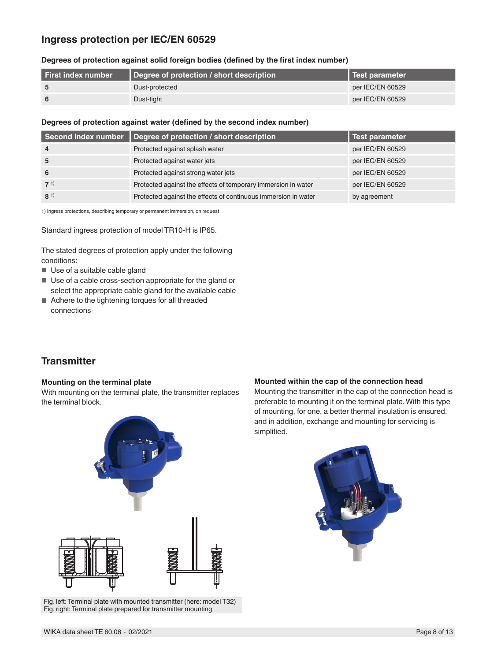### **Ingress protection per IEC/EN 60529**

#### **Degrees of protection against solid foreign bodies (defined by the first index number)**

| l First index number | Degree of protection / short description | <b>I</b> Test parameter |
|----------------------|------------------------------------------|-------------------------|
|                      | Dust-protected                           | per IEC/EN 60529        |
|                      | Dust-tight                               | per IEC/EN 60529        |

#### **Degrees of protection against water (defined by the second index number)**

| Second index number | Degree of protection / short description                       | Test parameter   |
|---------------------|----------------------------------------------------------------|------------------|
| $\overline{4}$      | Protected against splash water                                 | per IEC/EN 60529 |
| 5                   | Protected against water jets                                   | per IEC/EN 60529 |
| 6                   | Protected against strong water jets                            | per IEC/EN 60529 |
| $7^{1}$             | Protected against the effects of temporary immersion in water  | per IEC/EN 60529 |
| $8^{1}$             | Protected against the effects of continuous immersion in water | by agreement     |

1) Ingress protections, describing temporary or permanent immersion, on request

Standard ingress protection of model TR10-H is IP65.

The stated degrees of protection apply under the following conditions:

- Use of a suitable cable gland
- Use of a cable cross-section appropriate for the gland or select the appropriate cable gland for the available cable
- Adhere to the tightening torques for all threaded connections

# **Transmitter**

#### **Mounting on the terminal plate**

With mounting on the terminal plate, the transmitter replaces the terminal block.



Fig. left: Terminal plate with mounted transmitter (here: model T32) Fig. right: Terminal plate prepared for transmitter mounting

#### **Mounted within the cap of the connection head**

Mounting the transmitter in the cap of the connection head is preferable to mounting it on the terminal plate. With this type of mounting, for one, a better thermal insulation is ensured, and in addition, exchange and mounting for servicing is simplified.

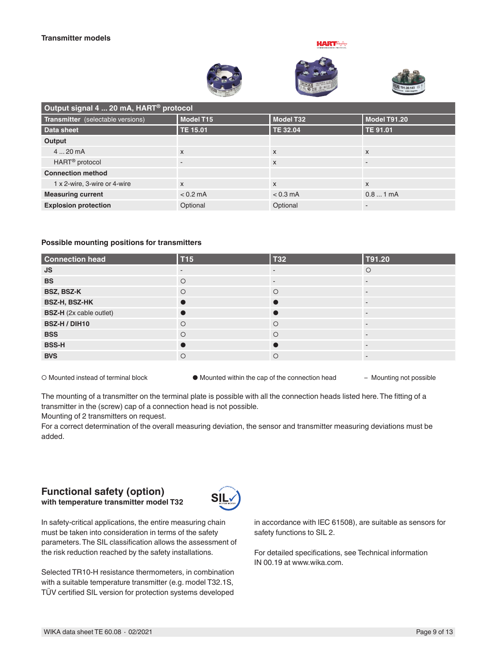





| Output signal 4  20 mA, HART <sup>®</sup> protocol |                           |                 |                           |  |  |
|----------------------------------------------------|---------------------------|-----------------|---------------------------|--|--|
| Transmitter (selectable versions)                  | Model T15                 | Model T32       | Model T91.20              |  |  |
| Data sheet                                         | TE 15.01                  | <b>TE 32.04</b> | TE 91.01                  |  |  |
| Output                                             |                           |                 |                           |  |  |
| 420mA                                              | $\boldsymbol{\mathsf{x}}$ | $\mathsf{x}$    | $\boldsymbol{\mathsf{x}}$ |  |  |
| HART <sup>®</sup> protocol                         |                           | X               |                           |  |  |
| <b>Connection method</b>                           |                           |                 |                           |  |  |
| 1 x 2-wire, 3-wire or 4-wire                       | $\boldsymbol{\mathsf{x}}$ | X               | $\mathsf{x}$              |  |  |
| <b>Measuring current</b>                           | $< 0.2$ mA                | $< 0.3$ mA      | 0.81mA                    |  |  |
| <b>Explosion protection</b>                        | Optional                  | Optional        |                           |  |  |

#### **Possible mounting positions for transmitters**

| <b>Connection head</b>         | <b>T15</b> | <b>T32</b> | T91.20  |
|--------------------------------|------------|------------|---------|
| <b>JS</b>                      | -          |            | $\circ$ |
| <b>BS</b>                      | $\circ$    | ۰          |         |
| BSZ, BSZ-K                     | $\circ$    | $\circ$    |         |
| BSZ-H, BSZ-HK                  |            |            |         |
| <b>BSZ-H</b> (2x cable outlet) |            |            |         |
| BSZ-H / DIH10                  | $\circ$    | $\circ$    |         |
| <b>BSS</b>                     | $\circ$    | $\circ$    |         |
| <b>BSS-H</b>                   |            |            |         |
| <b>BVS</b>                     | $\circ$    | $\circ$    |         |

○ Mounted instead of terminal block ● Mounted within the cap of the connection head – Mounting not possible

The mounting of a transmitter on the terminal plate is possible with all the connection heads listed here. The fitting of a transmitter in the (screw) cap of a connection head is not possible.

Mounting of 2 transmitters on request.

For a correct determination of the overall measuring deviation, the sensor and transmitter measuring deviations must be added.

#### **Functional safety (option) with temperature transmitter model T32**



In safety-critical applications, the entire measuring chain must be taken into consideration in terms of the safety parameters. The SIL classification allows the assessment of the risk reduction reached by the safety installations.

Selected TR10-H resistance thermometers, in combination with a suitable temperature transmitter (e.g. model T32.1S, TÜV certified SIL version for protection systems developed

in accordance with IEC 61508), are suitable as sensors for safety functions to SIL 2.

For detailed specifications, see Technical information IN 00.19 at www.wika.com.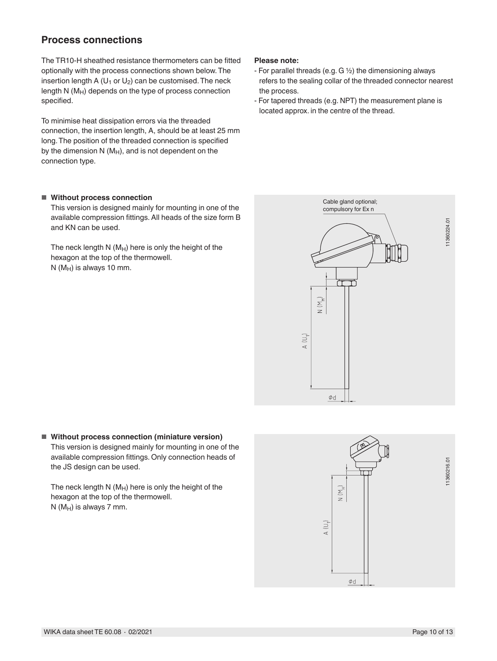# **Process connections**

The TR10-H sheathed resistance thermometers can be fitted optionally with the process connections shown below. The insertion length A ( $U_1$  or  $U_2$ ) can be customised. The neck length N (M<sub>H</sub>) depends on the type of process connection specified.

To minimise heat dissipation errors via the threaded connection, the insertion length, A, should be at least 25 mm long. The position of the threaded connection is specified by the dimension N  $(M_H)$ , and is not dependent on the connection type.

#### ■ **Without process connection**

This version is designed mainly for mounting in one of the available compression fittings. All heads of the size form B and KN can be used.

The neck length  $N(M_H)$  here is only the height of the hexagon at the top of the thermowell.  $N(M_H)$  is always 10 mm.

#### **Please note:**

- For parallel threads (e.g.  $G \frac{1}{2}$ ) the dimensioning always refers to the sealing collar of the threaded connector nearest the process.
- For tapered threads (e.g. NPT) the measurement plane is located approx. in the centre of the thread.



#### ■ Without process connection (miniature version) This version is designed mainly for mounting in one of the available compression fittings. Only connection heads of the JS design can be used.

The neck length  $N(M_H)$  here is only the height of the hexagon at the top of the thermowell.  $N$  (M<sub>H</sub>) is always 7 mm.

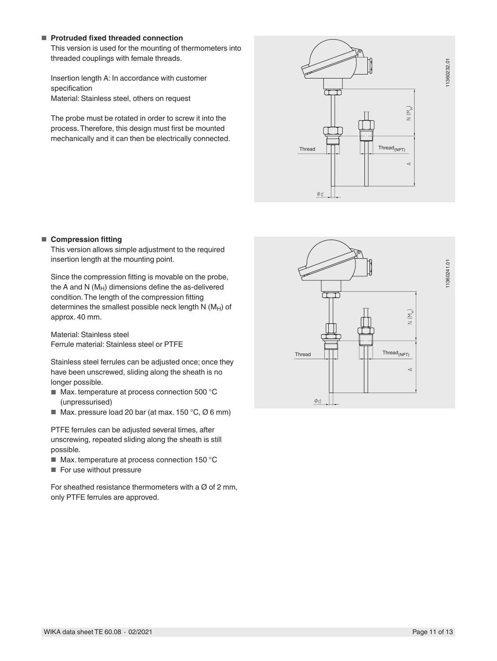#### ■ **Protruded fixed threaded connection**

This version is used for the mounting of thermometers into threaded couplings with female threads.

Insertion length A: In accordance with customer specification Material: Stainless steel, others on request

The probe must be rotated in order to screw it into the process. Therefore, this design must first be mounted mechanically and it can then be electrically connected.



#### ■ **Compression fitting**

This version allows simple adjustment to the required insertion length at the mounting point.

Since the compression fitting is movable on the probe, the A and N  $(M_H)$  dimensions define the as-delivered condition. The length of the compression fitting determines the smallest possible neck length  $N$  ( $M_H$ ) of approx. 40 mm.

Material: Stainless steel Ferrule material: Stainless steel or PTFE

Stainless steel ferrules can be adjusted once; once they have been unscrewed, sliding along the sheath is no longer possible.

- Max. temperature at process connection 500 °C (unpressurised)
- $\blacksquare$  Max. pressure load 20 bar (at max. 150 °C, Ø 6 mm)

PTFE ferrules can be adjusted several times, after unscrewing, repeated sliding along the sheath is still possible.

- Max. temperature at process connection 150 °C
- For use without pressure

For sheathed resistance thermometers with a  $\varnothing$  of 2 mm, only PTFE ferrules are approved.

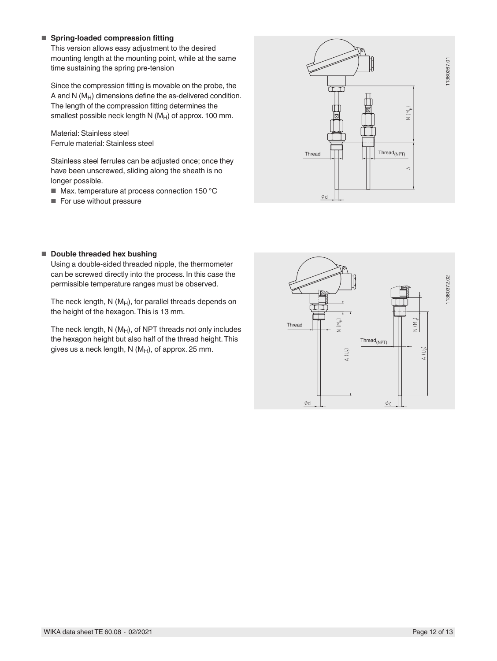#### ■ **Spring-loaded compression fitting**

This version allows easy adjustment to the desired mounting length at the mounting point, while at the same time sustaining the spring pre-tension

Since the compression fitting is movable on the probe, the A and N  $(M_H)$  dimensions define the as-delivered condition. The length of the compression fitting determines the smallest possible neck length  $N(M_H)$  of approx. 100 mm.

Material: Stainless steel Ferrule material: Stainless steel

Stainless steel ferrules can be adjusted once; once they have been unscrewed, sliding along the sheath is no longer possible.

- Max. temperature at process connection 150 °C
- For use without pressure



#### ■ **Double threaded hex bushing**

Using a double-sided threaded nipple, the thermometer can be screwed directly into the process. In this case the permissible temperature ranges must be observed.

The neck length,  $N(M_H)$ , for parallel threads depends on the height of the hexagon. This is 13 mm.

The neck length,  $N(M_H)$ , of NPT threads not only includes the hexagon height but also half of the thread height. This gives us a neck length,  $N(M_H)$ , of approx. 25 mm.